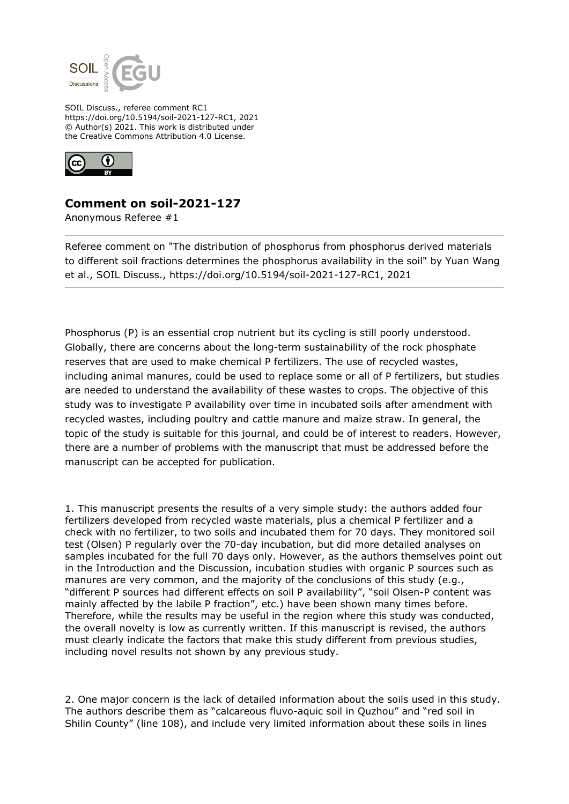

SOIL Discuss., referee comment RC1 https://doi.org/10.5194/soil-2021-127-RC1, 2021 © Author(s) 2021. This work is distributed under the Creative Commons Attribution 4.0 License.



## **Comment on soil-2021-127**

Anonymous Referee #1

Referee comment on "The distribution of phosphorus from phosphorus derived materials to different soil fractions determines the phosphorus availability in the soil" by Yuan Wang et al., SOIL Discuss., https://doi.org/10.5194/soil-2021-127-RC1, 2021

Phosphorus (P) is an essential crop nutrient but its cycling is still poorly understood. Globally, there are concerns about the long-term sustainability of the rock phosphate reserves that are used to make chemical P fertilizers. The use of recycled wastes, including animal manures, could be used to replace some or all of P fertilizers, but studies are needed to understand the availability of these wastes to crops. The objective of this study was to investigate P availability over time in incubated soils after amendment with recycled wastes, including poultry and cattle manure and maize straw. In general, the topic of the study is suitable for this journal, and could be of interest to readers. However, there are a number of problems with the manuscript that must be addressed before the manuscript can be accepted for publication.

1. This manuscript presents the results of a very simple study: the authors added four fertilizers developed from recycled waste materials, plus a chemical P fertilizer and a check with no fertilizer, to two soils and incubated them for 70 days. They monitored soil test (Olsen) P regularly over the 70-day incubation, but did more detailed analyses on samples incubated for the full 70 days only. However, as the authors themselves point out in the Introduction and the Discussion, incubation studies with organic P sources such as manures are very common, and the majority of the conclusions of this study (e.g., "different P sources had different effects on soil P availability", "soil Olsen-P content was mainly affected by the labile P fraction", etc.) have been shown many times before. Therefore, while the results may be useful in the region where this study was conducted, the overall novelty is low as currently written. If this manuscript is revised, the authors must clearly indicate the factors that make this study different from previous studies, including novel results not shown by any previous study.

2. One major concern is the lack of detailed information about the soils used in this study. The authors describe them as "calcareous fluvo-aquic soil in Quzhou" and "red soil in Shilin County" (line 108), and include very limited information about these soils in lines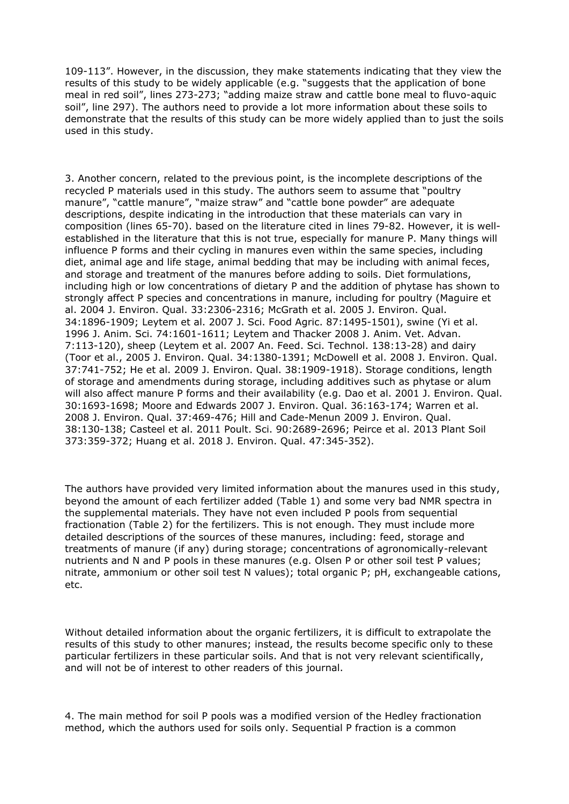109-113". However, in the discussion, they make statements indicating that they view the results of this study to be widely applicable (e.g. "suggests that the application of bone meal in red soil", lines 273-273; "adding maize straw and cattle bone meal to fluvo-aquic soil", line 297). The authors need to provide a lot more information about these soils to demonstrate that the results of this study can be more widely applied than to just the soils used in this study.

3. Another concern, related to the previous point, is the incomplete descriptions of the recycled P materials used in this study. The authors seem to assume that "poultry manure", "cattle manure", "maize straw" and "cattle bone powder" are adequate descriptions, despite indicating in the introduction that these materials can vary in composition (lines 65-70). based on the literature cited in lines 79-82. However, it is wellestablished in the literature that this is not true, especially for manure P. Many things will influence P forms and their cycling in manures even within the same species, including diet, animal age and life stage, animal bedding that may be including with animal feces, and storage and treatment of the manures before adding to soils. Diet formulations, including high or low concentrations of dietary P and the addition of phytase has shown to strongly affect P species and concentrations in manure, including for poultry (Maguire et al. 2004 J. Environ. Qual. 33:2306-2316; McGrath et al. 2005 J. Environ. Qual. 34:1896-1909; Leytem et al. 2007 J. Sci. Food Agric. 87:1495-1501), swine (Yi et al. 1996 J. Anim. Sci. 74:1601-1611; Leytem and Thacker 2008 J. Anim. Vet. Advan. 7:113-120), sheep (Leytem et al. 2007 An. Feed. Sci. Technol. 138:13-28) and dairy (Toor et al., 2005 J. Environ. Qual. 34:1380-1391; McDowell et al. 2008 J. Environ. Qual. 37:741-752; He et al. 2009 J. Environ. Qual. 38:1909-1918). Storage conditions, length of storage and amendments during storage, including additives such as phytase or alum will also affect manure P forms and their availability (e.g. Dao et al. 2001 J. Environ. Qual. 30:1693-1698; Moore and Edwards 2007 J. Environ. Qual. 36:163-174; Warren et al. 2008 J. Environ. Qual. 37:469-476; Hill and Cade-Menun 2009 J. Environ. Qual. 38:130-138; Casteel et al. 2011 Poult. Sci. 90:2689-2696; Peirce et al. 2013 Plant Soil 373:359-372; Huang et al. 2018 J. Environ. Qual. 47:345-352).

The authors have provided very limited information about the manures used in this study, beyond the amount of each fertilizer added (Table 1) and some very bad NMR spectra in the supplemental materials. They have not even included P pools from sequential fractionation (Table 2) for the fertilizers. This is not enough. They must include more detailed descriptions of the sources of these manures, including: feed, storage and treatments of manure (if any) during storage; concentrations of agronomically-relevant nutrients and N and P pools in these manures (e.g. Olsen P or other soil test P values; nitrate, ammonium or other soil test N values); total organic P; pH, exchangeable cations, etc.

Without detailed information about the organic fertilizers, it is difficult to extrapolate the results of this study to other manures; instead, the results become specific only to these particular fertilizers in these particular soils. And that is not very relevant scientifically, and will not be of interest to other readers of this journal.

4. The main method for soil P pools was a modified version of the Hedley fractionation method, which the authors used for soils only. Sequential P fraction is a common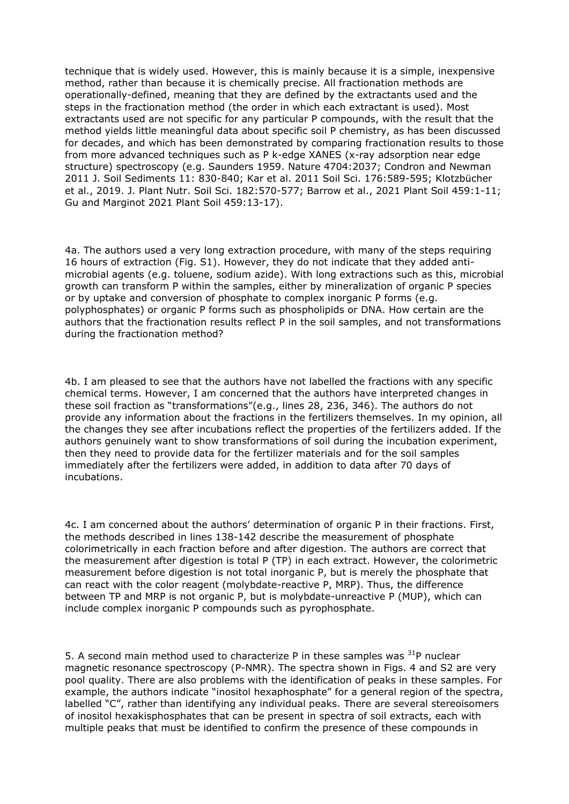technique that is widely used. However, this is mainly because it is a simple, inexpensive method, rather than because it is chemically precise. All fractionation methods are operationally-defined, meaning that they are defined by the extractants used and the steps in the fractionation method (the order in which each extractant is used). Most extractants used are not specific for any particular P compounds, with the result that the method yields little meaningful data about specific soil P chemistry, as has been discussed for decades, and which has been demonstrated by comparing fractionation results to those from more advanced techniques such as P k-edge XANES (x-ray adsorption near edge structure) spectroscopy (e.g. Saunders 1959. Nature 4704:2037; Condron and Newman 2011 J. Soil Sediments 11: 830-840; Kar et al. 2011 Soil Sci. 176:589-595; Klotzbücher et al., 2019. J. Plant Nutr. Soil Sci. 182:570-577; Barrow et al., 2021 Plant Soil 459:1-11; Gu and Marginot 2021 Plant Soil 459:13-17).

4a. The authors used a very long extraction procedure, with many of the steps requiring 16 hours of extraction (Fig. S1). However, they do not indicate that they added antimicrobial agents (e.g. toluene, sodium azide). With long extractions such as this, microbial growth can transform P within the samples, either by mineralization of organic P species or by uptake and conversion of phosphate to complex inorganic P forms (e.g. polyphosphates) or organic P forms such as phospholipids or DNA. How certain are the authors that the fractionation results reflect P in the soil samples, and not transformations during the fractionation method?

4b. I am pleased to see that the authors have not labelled the fractions with any specific chemical terms. However, I am concerned that the authors have interpreted changes in these soil fraction as "transformations"(e.g., lines 28, 236, 346). The authors do not provide any information about the fractions in the fertilizers themselves. In my opinion, all the changes they see after incubations reflect the properties of the fertilizers added. If the authors genuinely want to show transformations of soil during the incubation experiment, then they need to provide data for the fertilizer materials and for the soil samples immediately after the fertilizers were added, in addition to data after 70 days of incubations.

4c. I am concerned about the authors' determination of organic P in their fractions. First, the methods described in lines 138-142 describe the measurement of phosphate colorimetrically in each fraction before and after digestion. The authors are correct that the measurement after digestion is total P (TP) in each extract. However, the colorimetric measurement before digestion is not total inorganic P, but is merely the phosphate that can react with the color reagent (molybdate-reactive P, MRP). Thus, the difference between TP and MRP is not organic P, but is molybdate-unreactive P (MUP), which can include complex inorganic P compounds such as pyrophosphate.

5. A second main method used to characterize P in these samples was  $31P$  nuclear magnetic resonance spectroscopy (P-NMR). The spectra shown in Figs. 4 and S2 are very pool quality. There are also problems with the identification of peaks in these samples. For example, the authors indicate "inositol hexaphosphate" for a general region of the spectra, labelled "C", rather than identifying any individual peaks. There are several stereoisomers of inositol hexakisphosphates that can be present in spectra of soil extracts, each with multiple peaks that must be identified to confirm the presence of these compounds in